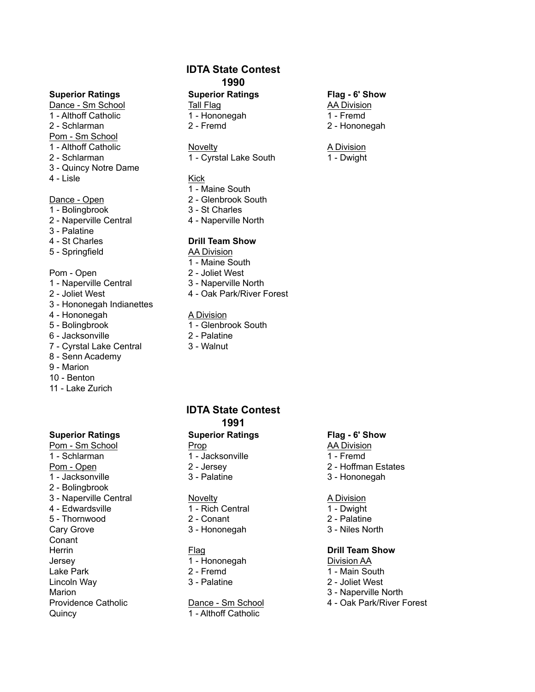Dance - Sm School **Tall Flag AA Division** 1 - Althoff Catholic 1 - Hononegah 1 - Hononegah 1 - Fremd 2 - Schlarman 2 - Fremd 2 - Hononegah Pom - Sm School 1 - Althoff Catholic **Novelty** Novelty **A Division** 3 - Quincy Notre Dame 4 - Lisle Kick

- 1 Bolingbrook 3 St Charles
- 2 Naperville Central 4 Naperville North
- 3 Palatine
- 
- 5 Springfield AA Division

- 1 Naperville Central 3 Naperville North
- 
- 3 Hononegah Indianettes
- 4 Hononegah A Division
- 
- 
- 7 Cyrstal Lake Central 3 Walnut
- 8 Senn Academy
- 9 Marion
- 10 Benton
- 11 Lake Zurich

## **Superior Ratings Superior Ratings Flag - 6' Show**

Pom - Sm School **Prop** Prop AA Division 1 - Schlarman 1 - Jacksonville 1 - Schlarman 1 - Fremd Pom - Open 2 - Versey 2 - Jersey 2 - Hoffman Estates 1 - Jacksonville 3 - Palatine 3 - Hononegah 2 - Bolingbrook 3 - Naperville Central **Novelty A Division** 4 - Edwardsville 1 - Rich Central 1 - Dwight 5 - Thornwood 2 - Conant 2 - Palatine Cary Grove 3 - Hononegah 3 - Niles North Conant **Herrin Properties In the Contract Exercise Contract Properties Contract Properties Contract Properties Contract Properties Contract Properties Contract Properties Contract Properties Contract Properties Contract Propert** Jersey 1 - Hononegah Division AA Lake Park 2 - Fremd 1 - Main South Lincoln Way 3 - Palatine 2 - Joliet West Marion 3 - Naperville North Providence Catholic Dance - Sm School 4 - Oak Park/River Forest Quincy 1 - Althoff Catholic

## **IDTA State Contest 1990**

## **Superior Ratings Superior Ratings Flag - 6' Show**

2 - Schlarman 1 - Cyrstal Lake South 1 - Dwight

- 1 Maine South
- Dance Open 2 Glenbrook South
	-
	-

## 4 - St Charles **Drill Team Show**

- 1 Maine South
- Pom Open 2 Joliet West
	-
- 2 Joliet West **4 Oak Park/River Forest**

- 5 Bolingbrook 1 Glenbrook South
- 6 Jacksonville 2 Palatine
	-

## **IDTA State Contest 1991**

- 
- 

- 
- 
- 

- 
- 
- 

- 
- 
- 
- 

- 
- 
- 

- 
- 
- 
- 
- 

- 
- 
-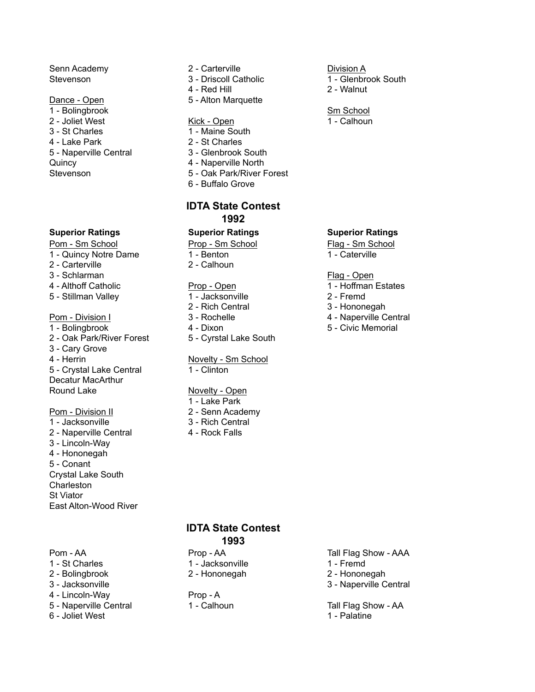1 - Bolingbrook Sm School 2 - Joliet West **Kick - Open** 1 - Calhoun 3 - St Charles 1 - Maine South 4 - Lake Park 2 - St Charles 5 - Naperville Central 3 - Glenbrook South Quincy 4 - Naperville North

## **Superior Ratings Superior Ratings Superior Ratings**

Pom - Sm School Prop - Sm School Prop - Sm School Flag - Sm School

1 - Quincy Notre Dame 1 - Benton 1 - Caterville

- 2 Carterville 2 Calhoun
- 3 Schlarman Flag Open
- 
- 5 Stillman Valley 1 Jacksonville 2 Fremd

- 1 Bolingbrook **4 Dixon** 4 Dixon 5 Civic Memorial
- 2 Oak Park/River Forest 5 Cyrstal Lake South
- 3 Cary Grove
- 
- 5 Crystal Lake Central 1 Clinton Decatur MacArthur

## Pom - Division II 2 - Senn Academy

1 - Jacksonville 3 - Rich Central 2 - Naperville Central 4 - Rock Falls 3 - Lincoln-Way 4 - Hononegah 5 - Conant Crystal Lake South **Charleston** St Viator East Alton-Wood River

Pom - AA Prop - AA Tall Flag Show - AAA Prop - AA 1 - St Charles **1 - Jacksonville** 1 - St Charles 1 - Fremd 2 - Hononegah 1 - Fremd 2 - Hononegah 2 - Bolingbrook 2 - Hononegah 2 - Hononegah 3 - Jacksonville 3 - Naperville Central 4 - Lincoln-Way Prop - A 5 - Naperville Central 1 - Calhoun Tall Flag Show - AA 6 - Joliet West 1 - Palatine

## Senn Academy 2 - Carterville **Cancellic Engineering** Division A

- Stevenson **1.1 Stevenson** 3 Driscoll Catholic 1 Glenbrook South
	- 4 Red Hill 2 Walnut
- Dance Open 5 Alton Marquette

- 
- 
- 
- 
- Stevenson 5 Oak Park/River Forest
	- 6 Buffalo Grove

## **IDTA State Contest 1992**

- 
- 
- 

- 
- 
- 
- 
- 

# 4 - Herrin Novelty - Sm School

## Round Lake Novelty - Open

- 1 Lake Park
- 
- 
- 

- 
- 

- 
- 

- 4 Althoff Catholic **Prop Open** 1 Hoffman Estates
	-
	- 2 Rich Central 3 Hononegah
- Pom Division I 3 Rochelle 4 Naperville Central
	-

## **IDTA State Contest 1993**

- 
- 
- 
-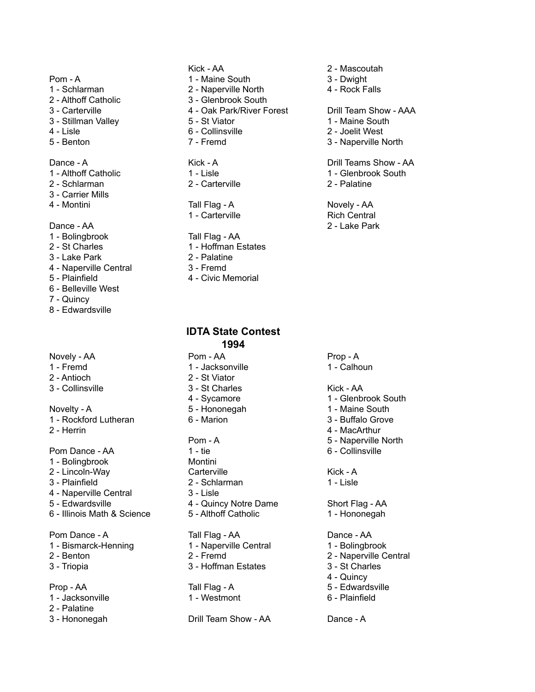- 1 Schlarman 2 Naperville North 4 Rock Falls
- 
- 
- 3 Stillman Valley **5 St Viator** 1 Maine South
- 
- 

- 
- 2 Schlarman 2 Carterville 2 Carterville 2 Palatine
- 3 Carrier Mills
- 

- 
- 
- 3 Lake Park 2 Palatine
- 4 Naperville Central 3 Fremd
- 
- 6 Belleville West
- 7 Quincy
- 8 Edwardsville

## Novely - AA Prop - A Pom - AA Prop - A

- 
- 2 Antioch 2 St Viator
- 3 Collinsville 3 St Charles Kick AA

Novelty - A 5 - Hononegah 1 - Maine South 1 - Rockford Lutheran 6 - Marion 3 - Buffalo Grove

- 1 Bolingbrook Montini
- 
- 
- 4 Naperville Central 3 Lisle
- 
- 6 Illinois Math & Science 5 Althoff Catholic 1 Hononegah

- 1 Bismarck-Henning 1 Naperville Central 1 Bolingbrook
- 
- 

- 1 Jacksonville 1 Westmont 6 Plainfield
- 2 Palatine
- 

- Pom A 2 Maine South 3 Dwight
	-
- 2 Althoff Catholic 3 Glenbrook South
	-
	-
- 4 Lisle 6 Collinsville 2 Joelit West
	-

- 
- 

## 4 - Montini **Tall Flag - A** Novely - AA 1 - Carterville **Rich Central**

## 1 - Bolingbrook Tall Flag - AA

- 2 St Charles 2 St Charles 2 Hoffman Estates
	-
	-
- 5 Plainfield 4 Civic Memorial

## **IDTA State Contest 1994**

- 1 Fremd 1 Jacksonville 1 Calhoun
	-
	-
	-
	-

- Pom Dance AA 1 tie 6 Collinsville 2 - Lincoln-Way Carterville Carterville Kick - A 3 - Plainfield 2 - Schlarman 1 - Lisle
- 5 Edwardsville **4 Quincy Notre Dame** Short Flag AA
	-

## Pom Dance - A Tall Flag - AA Dance - AA 2 - Benton 2 - Fremd 2 - Naperville Central 3 - Triopia 3 - Hoffman Estates 3 - St Charles

Prop - AA Tall Flag - A 5 - Edwardsville

3 - Hononegah Drill Team Show - AA Dance - A

- Kick AA 2 Mascoutah
	-
	-

## 3 - Carterville 4 - Oak Park/River Forest Drill Team Show - AAA

- 
- 
- 5 Benton 7 Fremd 3 Naperville North

Dance - A **Kick - A Container A** Container A Drill Teams Show - AA 1 - Althoff Catholic 1 - Lisle 1 - Glenbrook South

Dance - AA 2 - Lake Park

- 4 Sycamore 1 Glenbrook South
	-
	-
- 2 Herrin 4 MacArthur
	- Pom A 5 Naperville North
		-

- 
- 
- 
- 4 Quincy
- 
-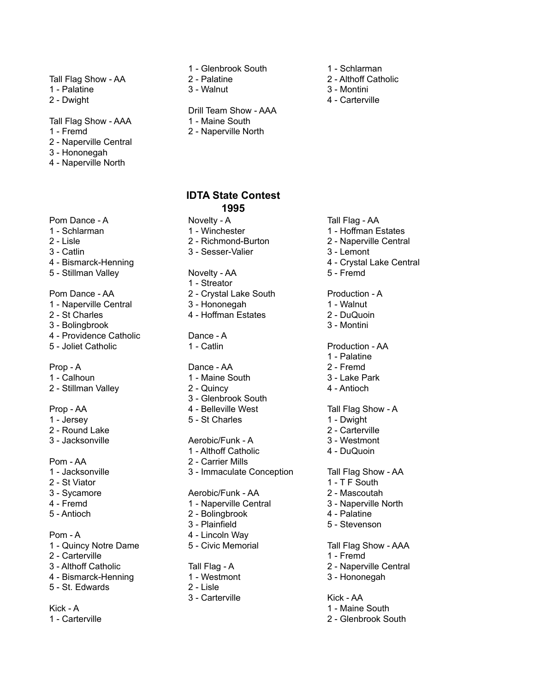## Tall Flag Show - AA 2 - Palatine 2 - Althoff Catholic

- 1 Palatine 3 Walnut 3 Montini
- 

Tall Flag Show - AAA 1 - Maine South

- 
- 2 Naperville Central
- 3 Hononegah
- 4 Naperville North
- Pom Dance A **Novelty A** Novelty A Tall Flag AA
- 
- 

- 4 Bismarck-Henning **4 Crystal Lake Central**
- 5 Stillman Valley **Novelty AA** 5 Fremd

## Pom Dance - AA 2 - Crystal Lake South Production - A

- 1 Naperville Central 3 Hononegah 1 Walnut
- 2 St Charles 4 Hoffman Estates 2 DuQuoin
- 3 Bolingbrook 3 Montini
- 4 Providence Catholic **Dance A**
- 

- 
- 2 Stillman Valley 2 Quincy 2 Quincy 4 Antioch

- 
- 2 Round Lake 2 Carterville
- 

- 
- 2 St Viator 1 T F South
- 
- 
- 

- 1 Quincy Notre Dame 5 Civic Memorial Tall Flag Show AAA
- 2 Carterville 1 Fremd
- 3 Althoff Catholic Tall Flag A 2 Naperville Central
- 4 Bismarck-Henning 1 Westmont 3 Hononegah
- 5 St. Edwards 2 Lisle

Kick - A 1 - Maine South

1 - Carterville 2 - Glenbrook South

- 1 Glenbrook South 1 Schlarman
- 
- 

## Drill Team Show - AAA

- 
- 1 Fremd 2 Naperville North

## **IDTA State Contest 1995**

- 
- 1 Schlarman 1 Winchester 1 Winchester 1 Hoffman Estates
- 3 Catlin 3 Sesser-Valier 3 Lemont
	-
	-
	- 1 Streator
	-
	-
	-
	-

## Prop - A Dance - AA 2 - Fremd

- 1 Calhoun 1 Maine South 3 Lake Park
	-
	- 3 Glenbrook South
- Prop AA 4 Belleville West Tall Flag Show A
- 1 Jersey 5 St Charles 1 Dwight

## 3 - Jacksonville Aerobic/Funk - A 3 - Westmont

- 1 Althoff Catholic 4 DuQuoin
- Pom AA 2 Carrier Mills
- 1 Jacksonville 3 Immaculate Conception Tall Flag Show AA

## 3 - Sycamore **Aerobic/Funk - AA** 2 - Mascoutah

- 4 Fremd 1 Naperville Central 3 Naperville North
- 5 Antioch 2 Bolingbrook 4 Palatine
	- 3 Plainfield 5 Stevenson
- Pom A 4 Lincoln Way
	-

- 
- 
- 3 Carterville Kick AA
- 
- 
- 
- 2 Dwight 4 Carterville

- 
- 
- 2 Lisle 2 Richmond-Burton 2 Naperville Central
	-
	-
	-

- 
- 
- 

## 5 - Joliet Catholic **1 - Catlin** Production - AA

- 1 Palatine
- 
- 
- 

- 
-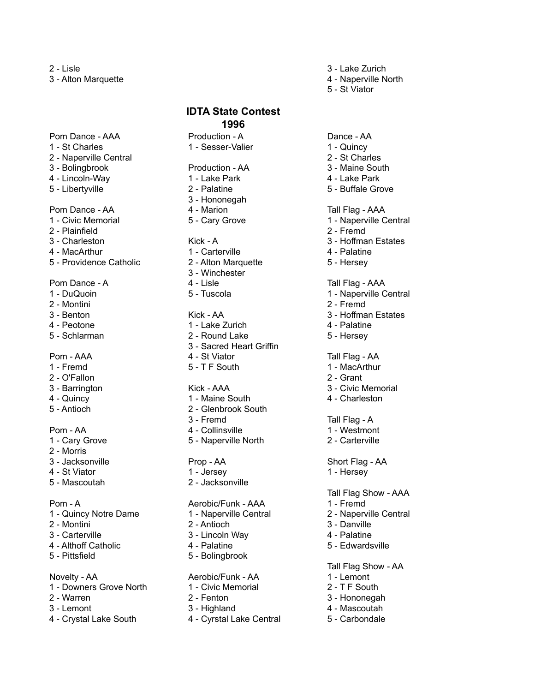2 - Lisle 3 - Lake Zurich

2 - O'Fallon 5 - Antioch 2 - Glenbrook South

- 
- 2 Morris
- 
- 
- 5 Mascoutah 2 Jacksonville

- 
- 
- 
- 4 Althoff Catholic **4** Palatine **4** Calatine 5 Edwardsville
- 

## Novelty - AA **Acrobic/Funk - AA** 1 - Lemont

- 1 Downers Grove North 1 Civic Memorial 2 T F South
- 2 Warren 2 Fenton 3 Hononegah
- 3 Lemont 3 Highland 4 Mascoutah
- 4 Crystal Lake South 4 Cyrstal Lake Central 5 Carbondale

Pom Dance - AAA Production - A Dance - AA 1 - St Charles **1 - Sesser-Valier** 1 - Sesser-Valier 1 - Quincy 2 - Naperville Central 2 - St Charles 3 - Bolingbrook Production - AA 3 - Maine South 4 - Lincoln-Way 1 - Lake Park 4 - Lake Park 5 - Libertyville 2 - Palatine 2 - Palatine 5 - Buffale Grove 3 - Hononegah Pom Dance - AA  $\overline{a}$  - Marion  $\overline{a}$  and  $\overline{a}$  and  $\overline{a}$  and  $\overline{a}$  and  $\overline{a}$  and  $\overline{a}$  and  $\overline{a}$  and  $\overline{a}$  and  $\overline{a}$  and  $\overline{a}$  and  $\overline{a}$  and  $\overline{a}$  and  $\overline{a}$  and  $\overline{a}$  and  $\overline{a}$ 2 - Plainfield 2 - Fremd 3 - Charleston Kick - A 3 - Hoffman Estates 4 - MacArthur 1 - Carterville 4 - Palatine 5 - Providence Catholic 2 - Alton Marquette 5 - Hersey 3 - Winchester Pom Dance - A 4 - Lisle Tall Flag - AAA 2 - Montini 2 - Fremd 3 - Benton **3 - Andrew Community Community** Communist Communist Communist Communist Communist Communist Communist Communist Communist Communist Communist Communist Communist Communist Communist Communist Communist Communis 4 - Peotone 1 - Lake Zurich 4 - Palatine 5 - Schlarman **2 - Round Lake** 5 - Hersey 3 - Sacred Heart Griffin Pom - AAA 4 - St Viator Tall Flag - AA 1 - Fremd 5 - T F South 1 - MacArthur 3 - Barrington Kick - AAA 3 - Civic Memorial 4 - Quincy 1 - Maine South 4 - Charleston 3 - Fremd Tall Flag - A Pom - AA 4 - Collinsville 1 - Westmont 1 - Cary Grove 5 - Naperville North 2 - Carterville **IDTA State Contest 1996**

- 
- 

## Pom - A **Acker According Agent According - A**erobic/Funk - AAA 1 - Fremd

- 
- 
- 3 Carterville 3 Lincoln Way 4 Palatine
	-
- 5 Pittsfield 5 Bolingbrook

- 
- 
- 
- 
- 
- 3 Alton Marquette 4 Naperville North
	- 5 St Viator

1 - Civic Memorial 5 - Cary Grove 1 - Naperville Central 1 - DuQuoin 5 - Tuscola 1 - Naperville Central 3 - Jacksonville **Prop - AA** Short Flag - AA 4 - St Viator **1 - Jersey** 1 - Jersey 1 - Hersey Tall Flag Show - AAA 1 - Quincy Notre Dame 1 - Naperville Central 2 - Naperville Central 2 - Montini 2 - Antioch 3 - Danville

Tall Flag Show - AA

- 
- 
- 
- 
-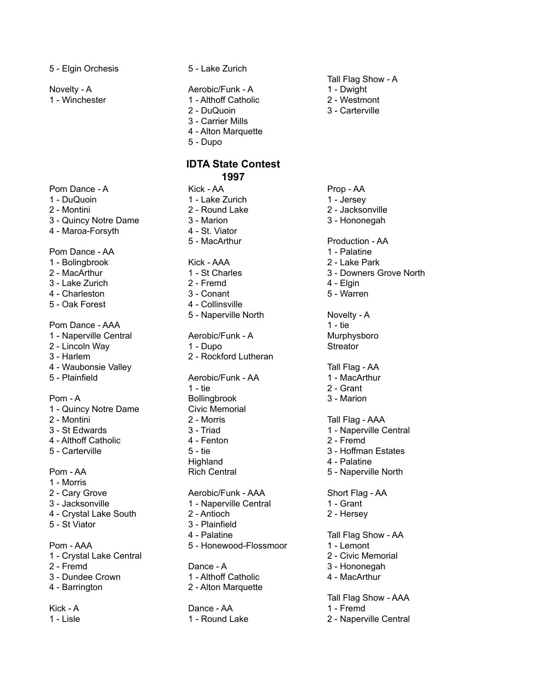5 - Elgin Orchesis 5 - Lake Zurich

1 - Winchester 1 - Althoff Catholic 2 - Westmont

Pom Dance - A **Kick - AA** Prop - AA

3 - Quincy Notre Dame 3 - Marion 3 - Hononegah

4 - Maroa-Forsyth 4 - St. Viator

Pom Dance - AA 1 - Palatine 1 - Palatine 1 - Palatine 1 - Palatine 1 - Palatine 1 - Palatine 1 - Palatine 1 - Palatine 1 - Palatine 1 - Palatine 1 - Palatine 1 - Palatine 1 - Palatine 1 - Palatine 1 - Palatine 1 - Palatine

- 1 Bolingbrook Kick AAA 2 Lake Park
- 
- 3 Lake Zurich 2 Fremd 4 Elgin
- 4 Charleston 3 Conant 5 Warren
- 5 Oak Forest 4 Collinsville

Pom Dance - AAA 1 - tie 1 - tie 1 - tie 1 - tie 1 - tie 1 - tie 1 - tie 1 - tie 1 - tie 1 - tie 1 - tie 1 - tie

1 - Naperville Central **Aerobic/Funk - A** Murphysboro

2 - Lincoln Way **1** - Dupo **Streator** 

- 
- 4 Waubonsie Valley Tall Flag AA
- 

- 1 Quincy Notre Dame
- 
- 
- 

- 1 Morris
- 
- 3 Jacksonville 1 Naperville Central 1 Grant
- 4 Crystal Lake South 2 Antioch 2 Hersey
- 

1 - Crystal Lake Central 2 - Civic Memorial 2 - Fremd **Dance - A** 3 - Hononegah 3 - Dundee Crown 1 - Althoff Catholic 4 - MacArthur

Novelty - A **Aerobic/Funk - A** 1 - Dwight

- 
- 
- 3 Carrier Mills
- 4 Alton Marquette
- 5 Dupo

## **IDTA State Contest 1997**

- 1 DuQuoin **1 Lake Zurich 1 Late 1** Jersey
- 2 Montini 2 Round Lake 2 Jacksonville
	-
	-
	-

- 
- 
- 
- 
- 5 Naperville North Novelty A

- 
- 3 Harlem 2 Rockford Lutheran

5 - Plainfield **Aerobic/Funk - AA** 1 - MacArthur 1 - tie 2 - Grant Pom - A Bollingbrook 3 - Marion<br>1 - Quincy Notre Dame Civic Memorial 2 - Montini 2 - Morris Tall Flag - AAA 3 - St Edwards **3 - Triad** 1 - Naperville Central 4 - Althoff Catholic 4 - Fenton 2 - Fremd Highland 4 - Palatine

2 - Cary Grove **Australian Accredit ACA** Short Flag - AA

- 
- 5 St Viator 3 Plainfield
	-
- Pom AAA 5 Honewood-Flossmoor 1 Lemont

4 - Barrington 2 - Alton Marquette

Kick - A 1 - Fremd

Tall Flag Show - A

- 
- 
- 2 DuQuoin 3 Carterville

5 - MacArthur **Production - AA** 2 - MacArthur 1 - St Charles 3 - Downers Grove North

- 
- 
- 
- 

- 
- 
- 5 Carterville 3 S tie 3 Hoffman Estates
	-
- Pom AA Rich Central 5 Naperville North

- 
- 

4 - Palatine Tall Flag Show - AA

- 
- 
- 
- 

Tall Flag Show - AAA 1 - Lisle 1 - Round Lake 2 - Naperville Central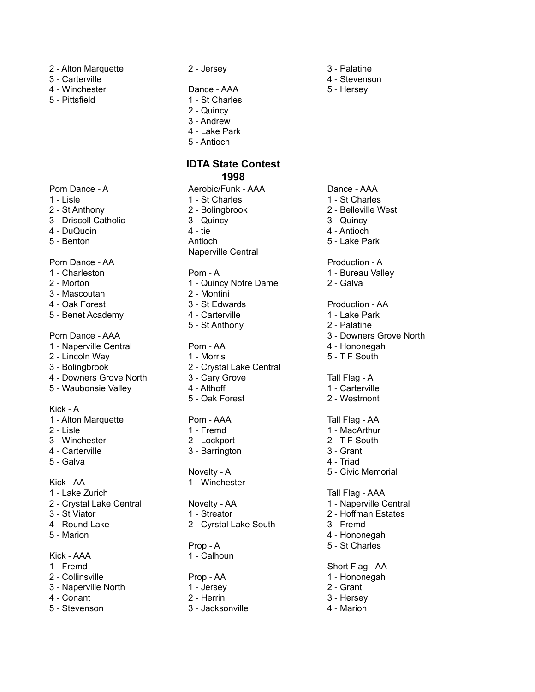- 2 Alton Marquette 2 Jersey 3 Palatine
- 3 Carterville 4 Stevenson
- 4 Winchester **Dance AAA** 5 Hersey
- 

- Pom Dance A **Aerobic/Funk AAA** Dance AAA
- 
- 
- 
- 
- 

## Pom Dance - AA Production - A

- 
- 
- 3 Mascoutah 2 Montini
- 
- 5 Benet Academy **4 Carterville** 1 Lake Park

## Pom Dance - AAA 3 - Downers Grove North

- 1 Naperville Central **Pom AA** 4 Hononegah
- 2 Lincoln Way 1 Morris 5 T F South
- 
- 4 Downers Grove North 3 Cary Grove Tall Flag A
- 5 Waubonsie Valley 1 Althoff 1 Carterville

### Kick - A

- 1 Alton Marquette Pom AAA Tall Flag AA
- 
- 3 Winchester 2 Lockport 2 T F South
- 
- 

- 1 Lake Zurich Tall Flag AAA
- 
- 
- 
- 

- 
- 
- 3 Naperville North 1 Jersey 2 Grant
- 
- 

- 
- 5 Pittsfield 1 St Charles
	- 2 Quincy
	- 3 Andrew
	- 4 Lake Park
	- 5 Antioch

# **IDTA State Contest**

## **1998**

- 1 Lisle 1 St Charles 1 St Charles 2 - St Anthony 2 - Bolingbrook 2 - Belleville West 3 - Driscoll Catholic 3 - Quincy 3 - Quincy 4 - DuQuoin **4 - 4 - tie 4 - Antioch** 5 - Benton **3 - Senton Antioch** 5 - Lake Park
	- Naperville Central
	-
- 2 Morton 2 Morton 2 Galva 4 - Oak Forest 3 - St Edwards Production - AA
	-
	- 5 St Anthony 2 Palatine

- 
- 3 Bolingbrook 2 Crystal Lake Central
	-
	-
	- 5 Oak Forest 2 Westmont

- 2 Lisle 1 Fremd 1 MacArthur
	-
- 4 Carterville 3 Barrington 3 Grant

# Kick - AA 1 - Winchester

3 - St Viator 1 - Streator 2 - Hoffman Estates 4 - Round Lake 2 - Cyrstal Lake South 3 - Fremd

Kick - AAA 1 - Calhoun

- 
- 
- 
- 
- 

# 1 - Charleston **Pom - A** 1 - Bureau Valley

- 
- 

- 
- 
- 
- 
- Novelty A 5 Civic Memorial

- 2 Crystal Lake Central **Novelty AA** 1 Naperville Central
	-
	-
- 5 Marion 4 Hononegah
	- Prop A 5 St Charles

1 - Fremd Short Flag - AA

- 2 Collinsville **2 Collinsville** Prop AA 1 Hononegah
	-
- 4 Conant 2 Herrin 3 Hersey
- 5 Stevenson 3 Jacksonville 4 Marion

5 - Galva 4 - Triad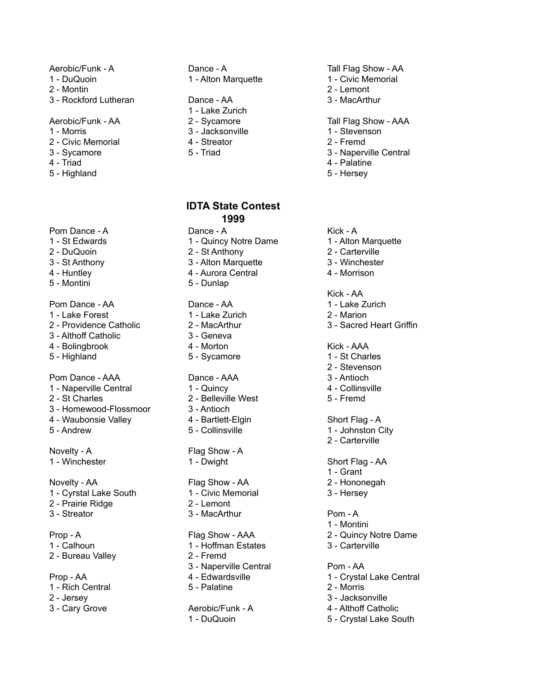- 
- 2 Montin 2 Lemont
- 3 Rockford Lutheran Dance AA 3 MacArthur

- 
- 2 Civic Memorial 4 Streator 2 Fremd
- 
- 
- 5 Highland 5 Hersey

## Pom Dance - A Dance - A Communication Communication A Kick - A

- 
- 
- 
- 
- 

## Pom Dance - AA 1 - Lake Zurich

- 
- 
- 3 Althoff Catholic 3 Geneva
- 4 Bolingbrook 4 Morton Andrew Kick AAA
- 

## Pom Dance - AAA Dance - AAA 3 - Antioch

- 1 Naperville Central 1 Quincy 4 Collinsville
- 
- 3 Homewood-Flossmoor 3 Antioch
- 4 Waubonsie Valley **4 Bartlett-Elgin** Short Flag A
- 

Novelty - A Flag Show - A 1 - Winchester **1 - Dwight** Short Flag - AA

- 1 Cyrstal Lake South 1 Civic Memorial 3 Hersey
- 2 Prairie Ridge 2 Lemont
- 3 Streator 3 MacArthur Pom A

## 1 - Calhoun 1 - Hoffman Estates 3 - Carterville 2 - Bureau Valley 2 - Fremd

- Prop AA **4 Edwardsville** 1 Crystal Lake Central 1 - Rich Central 5 - Palatine 2 - Morris
- 2 Jersey 3 Jacksonville
- 

# 1 - DuQuoin 1 - Alton Marquette 1 - Civic Memorial

- 1 Lake Zurich
- 
- 
- 
- 

## **IDTA State Contest 1999**

- 1 St Edwards 1 Quincy Notre Dame 1 Alton Marquette
- 2 DuQuoin 2 St Anthony 2 Carterville
- 3 St Anthony 3 Alton Marquette 3 Winchester
- 4 Huntley 4 Aurora Central 4 Morrison
- 5 Montini 5 Dunlap

- 1 Lake Forest 1 Lake Zurich 2 Marion
	-
	-
	-
- 5 Highland **5 Sycamore** 1 St Charles

- 
- 2 St Charles 2 Belleville West 5 Fremd
	-
	-
- 5 Andrew **5 Collinsville** 1 Johnston City

## Novelty - AA Flag Show - AA 2 - Hononegah

- 
- 
- 

## Prop - A Flag Show - AAA 2 - Quincy Notre Dame

- 
- 
- 3 Naperville Central Pom AA
- 
- 

## 3 - Cary Grove **Aerobic/Funk - A** 4 - Althoff Catholic 1 - DuQuoin 5 - Crystal Lake South

## Aerobic/Funk - A Dance - A Tall Flag Show - AA Tall Flag Show - AA

- 
- 
- 

Aerobic/Funk - AA 2 - Sycamore Tall Flag Show - AAA

- 1 Morris 3 Jacksonville 1 Stevenson
	-
- 3 Sycamore 5 Triad 3 Naperville Central
- 4 Triad 4 Palatine
	-

- 
- 
- 
- 

## Kick - AA

- 
- 
- 2 Providence Catholic 2 MacArthur 3 Sacred Heart Griffin

- 
- 2 Stevenson
- 
- 

2 - Carterville

1 - Grant

1 - Montini